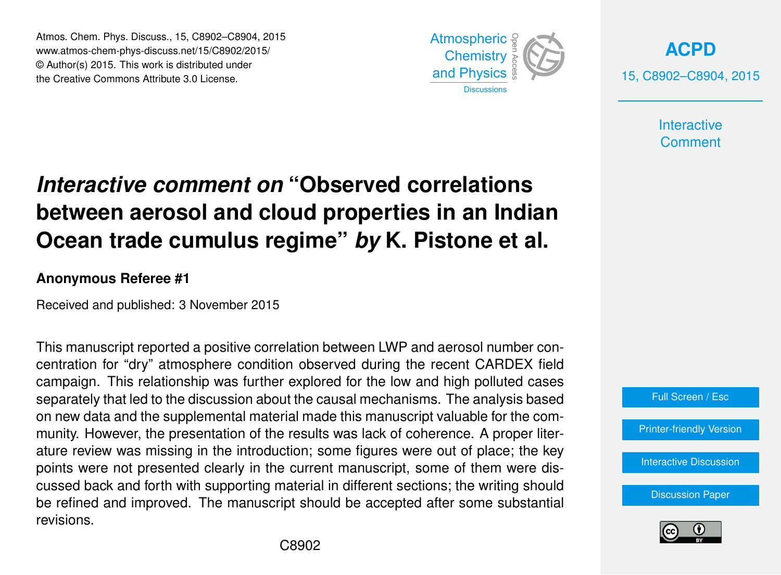Atmos. Chem. Phys. Discuss., 15, C8902–C8904, 2015 www.atmos-chem-phys-discuss.net/15/C8902/2015/ © Author(s) 2015. This work is distributed under the Creative Commons Attribute 3.0 License.



**[ACPD](http://www.atmos-chem-phys-discuss.net)** 15, C8902–C8904, 2015

> **Interactive Comment**

## *Interactive comment on* **"Observed correlations between aerosol and cloud properties in an Indian Ocean trade cumulus regime"** *by* **K. Pistone et al.**

## **Anonymous Referee #1**

Received and published: 3 November 2015

This manuscript reported a positive correlation between LWP and aerosol number concentration for "dry" atmosphere condition observed during the recent CARDEX field campaign. This relationship was further explored for the low and high polluted cases separately that led to the discussion about the causal mechanisms. The analysis based on new data and the supplemental material made this manuscript valuable for the community. However, the presentation of the results was lack of coherence. A proper literature review was missing in the introduction; some figures were out of place; the key points were not presented clearly in the current manuscript, some of them were discussed back and forth with supporting material in different sections; the writing should be refined and improved. The manuscript should be accepted after some substantial revisions.



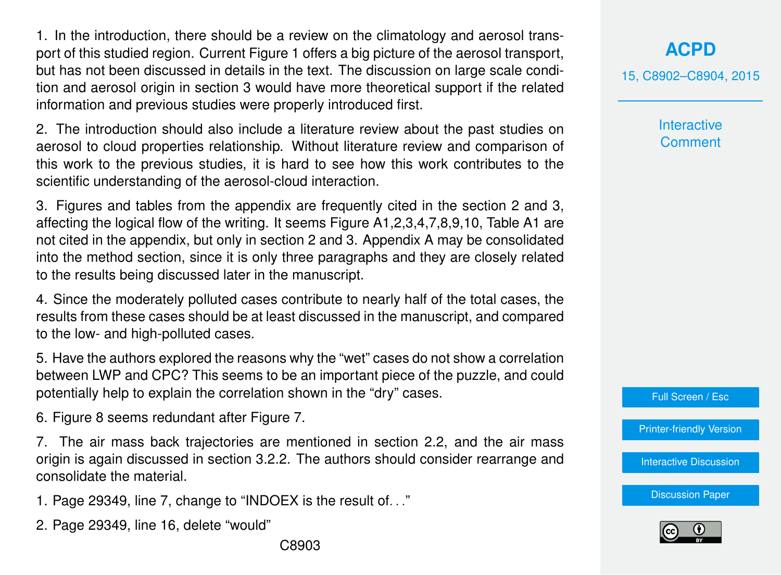1. In the introduction, there should be a review on the climatology and aerosol transport of this studied region. Current Figure 1 offers a big picture of the aerosol transport, but has not been discussed in details in the text. The discussion on large scale condition and aerosol origin in section 3 would have more theoretical support if the related information and previous studies were properly introduced first.

2. The introduction should also include a literature review about the past studies on aerosol to cloud properties relationship. Without literature review and comparison of this work to the previous studies, it is hard to see how this work contributes to the scientific understanding of the aerosol-cloud interaction.

3. Figures and tables from the appendix are frequently cited in the section 2 and 3, affecting the logical flow of the writing. It seems Figure A1,2,3,4,7,8,9,10, Table A1 are not cited in the appendix, but only in section 2 and 3. Appendix A may be consolidated into the method section, since it is only three paragraphs and they are closely related to the results being discussed later in the manuscript.

4. Since the moderately polluted cases contribute to nearly half of the total cases, the results from these cases should be at least discussed in the manuscript, and compared to the low- and high-polluted cases.

5. Have the authors explored the reasons why the "wet" cases do not show a correlation between LWP and CPC? This seems to be an important piece of the puzzle, and could potentially help to explain the correlation shown in the "dry" cases.

6. Figure 8 seems redundant after Figure 7.

7. The air mass back trajectories are mentioned in section 2.2, and the air mass origin is again discussed in section 3.2.2. The authors should consider rearrange and consolidate the material.

1. Page 29349, line 7, change to "INDOEX is the result of. . ."

2. Page 29349, line 16, delete "would"

15, C8902–C8904, 2015

**Interactive Comment** 

Full Screen / Esc

[Printer-friendly Version](http://www.atmos-chem-phys-discuss.net/15/C8902/2015/acpd-15-C8902-2015-print.pdf)

[Interactive Discussion](http://www.atmos-chem-phys-discuss.net/15/29347/2015/acpd-15-29347-2015-discussion.html)

[Discussion Paper](http://www.atmos-chem-phys-discuss.net/15/29347/2015/acpd-15-29347-2015.pdf)